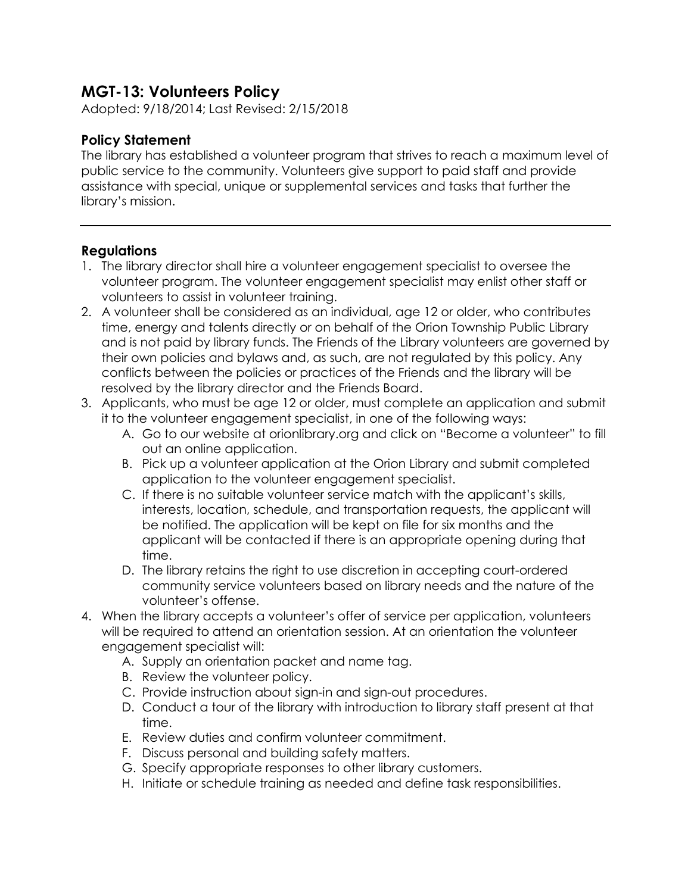## **MGT-13: Volunteers Policy**

Adopted: 9/18/2014; Last Revised: 2/15/2018

## **Policy Statement**

The library has established a volunteer program that strives to reach a maximum level of public service to the community. Volunteers give support to paid staff and provide assistance with special, unique or supplemental services and tasks that further the library's mission.

## **Regulations**

- 1. The library director shall hire a volunteer engagement specialist to oversee the volunteer program. The volunteer engagement specialist may enlist other staff or volunteers to assist in volunteer training.
- 2. A volunteer shall be considered as an individual, age 12 or older, who contributes time, energy and talents directly or on behalf of the Orion Township Public Library and is not paid by library funds. The Friends of the Library volunteers are governed by their own policies and bylaws and, as such, are not regulated by this policy. Any conflicts between the policies or practices of the Friends and the library will be resolved by the library director and the Friends Board.
- 3. Applicants, who must be age 12 or older, must complete an application and submit it to the volunteer engagement specialist, in one of the following ways:
	- A. Go to our website at orionlibrary.org and click on "Become a volunteer" to fill out an online application.
	- B. Pick up a volunteer application at the Orion Library and submit completed application to the volunteer engagement specialist.
	- C. If there is no suitable volunteer service match with the applicant's skills, interests, location, schedule, and transportation requests, the applicant will be notified. The application will be kept on file for six months and the applicant will be contacted if there is an appropriate opening during that time.
	- D. The library retains the right to use discretion in accepting court-ordered community service volunteers based on library needs and the nature of the volunteer's offense.
- 4. When the library accepts a volunteer's offer of service per application, volunteers will be required to attend an orientation session. At an orientation the volunteer engagement specialist will:
	- A. Supply an orientation packet and name tag.
	- B. Review the volunteer policy.
	- C. Provide instruction about sign-in and sign-out procedures.
	- D. Conduct a tour of the library with introduction to library staff present at that time.
	- E. Review duties and confirm volunteer commitment.
	- F. Discuss personal and building safety matters.
	- G. Specify appropriate responses to other library customers.
	- H. Initiate or schedule training as needed and define task responsibilities.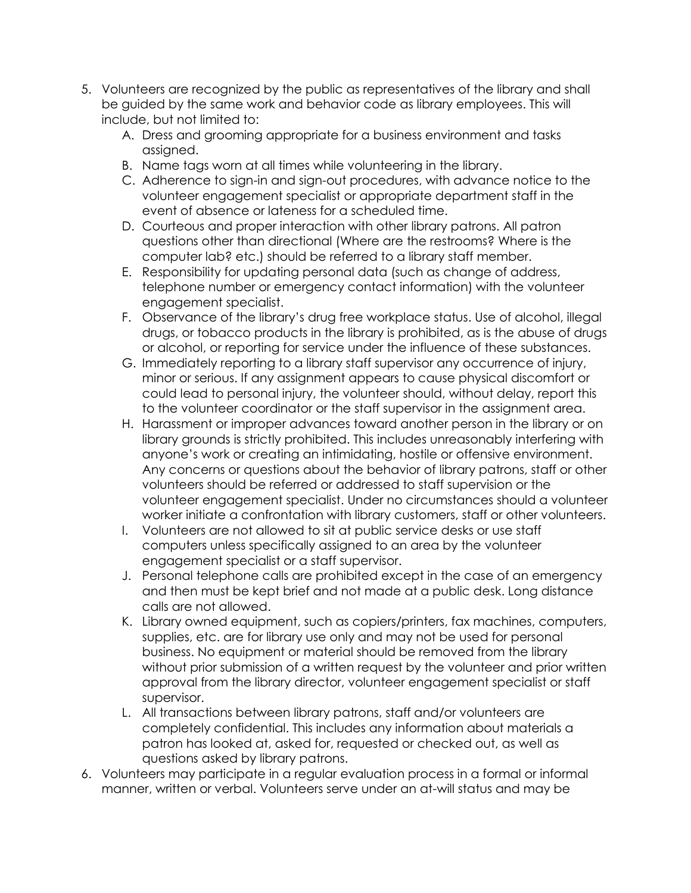- 5. Volunteers are recognized by the public as representatives of the library and shall be guided by the same work and behavior code as library employees. This will include, but not limited to:
	- A. Dress and grooming appropriate for a business environment and tasks assigned.
	- B. Name tags worn at all times while volunteering in the library.
	- C. Adherence to sign-in and sign-out procedures, with advance notice to the volunteer engagement specialist or appropriate department staff in the event of absence or lateness for a scheduled time.
	- D. Courteous and proper interaction with other library patrons. All patron questions other than directional (Where are the restrooms? Where is the computer lab? etc.) should be referred to a library staff member.
	- E. Responsibility for updating personal data (such as change of address, telephone number or emergency contact information) with the volunteer engagement specialist.
	- F. Observance of the library's drug free workplace status. Use of alcohol, illegal drugs, or tobacco products in the library is prohibited, as is the abuse of drugs or alcohol, or reporting for service under the influence of these substances.
	- G. Immediately reporting to a library staff supervisor any occurrence of injury, minor or serious. If any assignment appears to cause physical discomfort or could lead to personal injury, the volunteer should, without delay, report this to the volunteer coordinator or the staff supervisor in the assignment area.
	- H. Harassment or improper advances toward another person in the library or on library grounds is strictly prohibited. This includes unreasonably interfering with anyone's work or creating an intimidating, hostile or offensive environment. Any concerns or questions about the behavior of library patrons, staff or other volunteers should be referred or addressed to staff supervision or the volunteer engagement specialist. Under no circumstances should a volunteer worker initiate a confrontation with library customers, staff or other volunteers.
	- I. Volunteers are not allowed to sit at public service desks or use staff computers unless specifically assigned to an area by the volunteer engagement specialist or a staff supervisor.
	- J. Personal telephone calls are prohibited except in the case of an emergency and then must be kept brief and not made at a public desk. Long distance calls are not allowed.
	- K. Library owned equipment, such as copiers/printers, fax machines, computers, supplies, etc. are for library use only and may not be used for personal business. No equipment or material should be removed from the library without prior submission of a written request by the volunteer and prior written approval from the library director, volunteer engagement specialist or staff supervisor.
	- L. All transactions between library patrons, staff and/or volunteers are completely confidential. This includes any information about materials a patron has looked at, asked for, requested or checked out, as well as questions asked by library patrons.
- 6. Volunteers may participate in a regular evaluation process in a formal or informal manner, written or verbal. Volunteers serve under an at-will status and may be